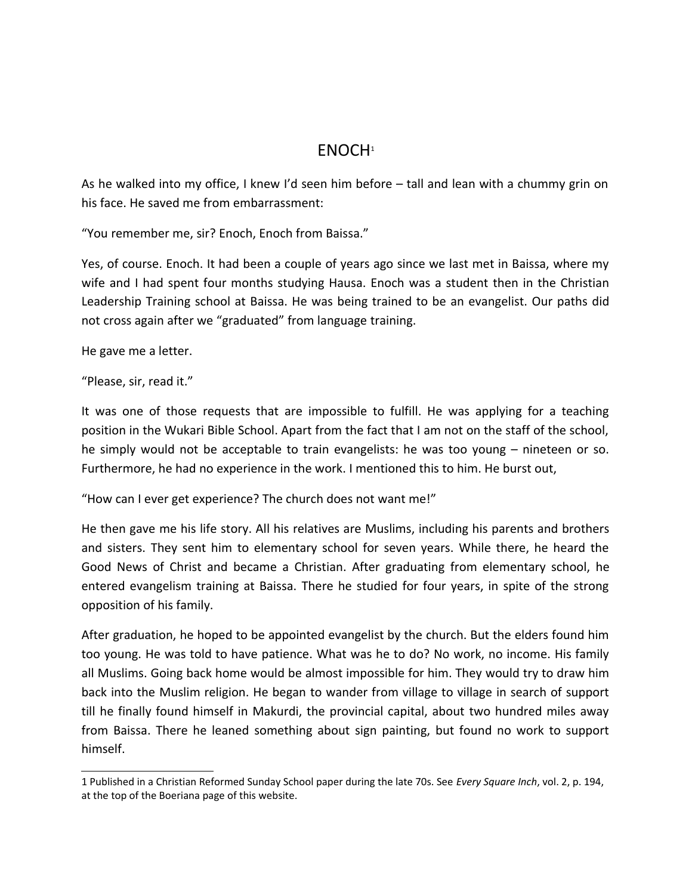## ENOCH[1](#page-0-0)

As he walked into my office, I knew I'd seen him before – tall and lean with a chummy grin on his face. He saved me from embarrassment:

"You remember me, sir? Enoch, Enoch from Baissa."

Yes, of course. Enoch. It had been a couple of years ago since we last met in Baissa, where my wife and I had spent four months studying Hausa. Enoch was a student then in the Christian Leadership Training school at Baissa. He was being trained to be an evangelist. Our paths did not cross again after we "graduated" from language training.

He gave me a letter.

"Please, sir, read it."

It was one of those requests that are impossible to fulfill. He was applying for a teaching position in the Wukari Bible School. Apart from the fact that I am not on the staff of the school, he simply would not be acceptable to train evangelists: he was too young – nineteen or so. Furthermore, he had no experience in the work. I mentioned this to him. He burst out,

"How can I ever get experience? The church does not want me!"

He then gave me his life story. All his relatives are Muslims, including his parents and brothers and sisters. They sent him to elementary school for seven years. While there, he heard the Good News of Christ and became a Christian. After graduating from elementary school, he entered evangelism training at Baissa. There he studied for four years, in spite of the strong opposition of his family.

After graduation, he hoped to be appointed evangelist by the church. But the elders found him too young. He was told to have patience. What was he to do? No work, no income. His family all Muslims. Going back home would be almost impossible for him. They would try to draw him back into the Muslim religion. He began to wander from village to village in search of support till he finally found himself in Makurdi, the provincial capital, about two hundred miles away from Baissa. There he leaned something about sign painting, but found no work to support himself.

<span id="page-0-0"></span><sup>1</sup> Published in a Christian Reformed Sunday School paper during the late 70s. See *Every Square Inch*, vol. 2, p. 194, at the top of the Boeriana page of this website.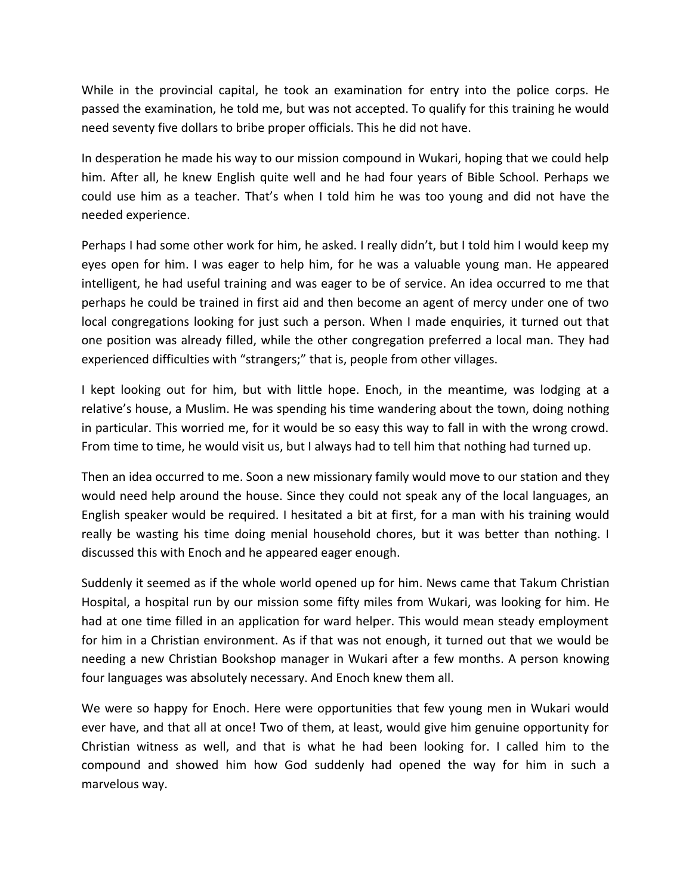While in the provincial capital, he took an examination for entry into the police corps. He passed the examination, he told me, but was not accepted. To qualify for this training he would need seventy five dollars to bribe proper officials. This he did not have.

In desperation he made his way to our mission compound in Wukari, hoping that we could help him. After all, he knew English quite well and he had four years of Bible School. Perhaps we could use him as a teacher. That's when I told him he was too young and did not have the needed experience.

Perhaps I had some other work for him, he asked. I really didn't, but I told him I would keep my eyes open for him. I was eager to help him, for he was a valuable young man. He appeared intelligent, he had useful training and was eager to be of service. An idea occurred to me that perhaps he could be trained in first aid and then become an agent of mercy under one of two local congregations looking for just such a person. When I made enquiries, it turned out that one position was already filled, while the other congregation preferred a local man. They had experienced difficulties with "strangers;" that is, people from other villages.

I kept looking out for him, but with little hope. Enoch, in the meantime, was lodging at a relative's house, a Muslim. He was spending his time wandering about the town, doing nothing in particular. This worried me, for it would be so easy this way to fall in with the wrong crowd. From time to time, he would visit us, but I always had to tell him that nothing had turned up.

Then an idea occurred to me. Soon a new missionary family would move to our station and they would need help around the house. Since they could not speak any of the local languages, an English speaker would be required. I hesitated a bit at first, for a man with his training would really be wasting his time doing menial household chores, but it was better than nothing. I discussed this with Enoch and he appeared eager enough.

Suddenly it seemed as if the whole world opened up for him. News came that Takum Christian Hospital, a hospital run by our mission some fifty miles from Wukari, was looking for him. He had at one time filled in an application for ward helper. This would mean steady employment for him in a Christian environment. As if that was not enough, it turned out that we would be needing a new Christian Bookshop manager in Wukari after a few months. A person knowing four languages was absolutely necessary. And Enoch knew them all.

We were so happy for Enoch. Here were opportunities that few young men in Wukari would ever have, and that all at once! Two of them, at least, would give him genuine opportunity for Christian witness as well, and that is what he had been looking for. I called him to the compound and showed him how God suddenly had opened the way for him in such a marvelous way.